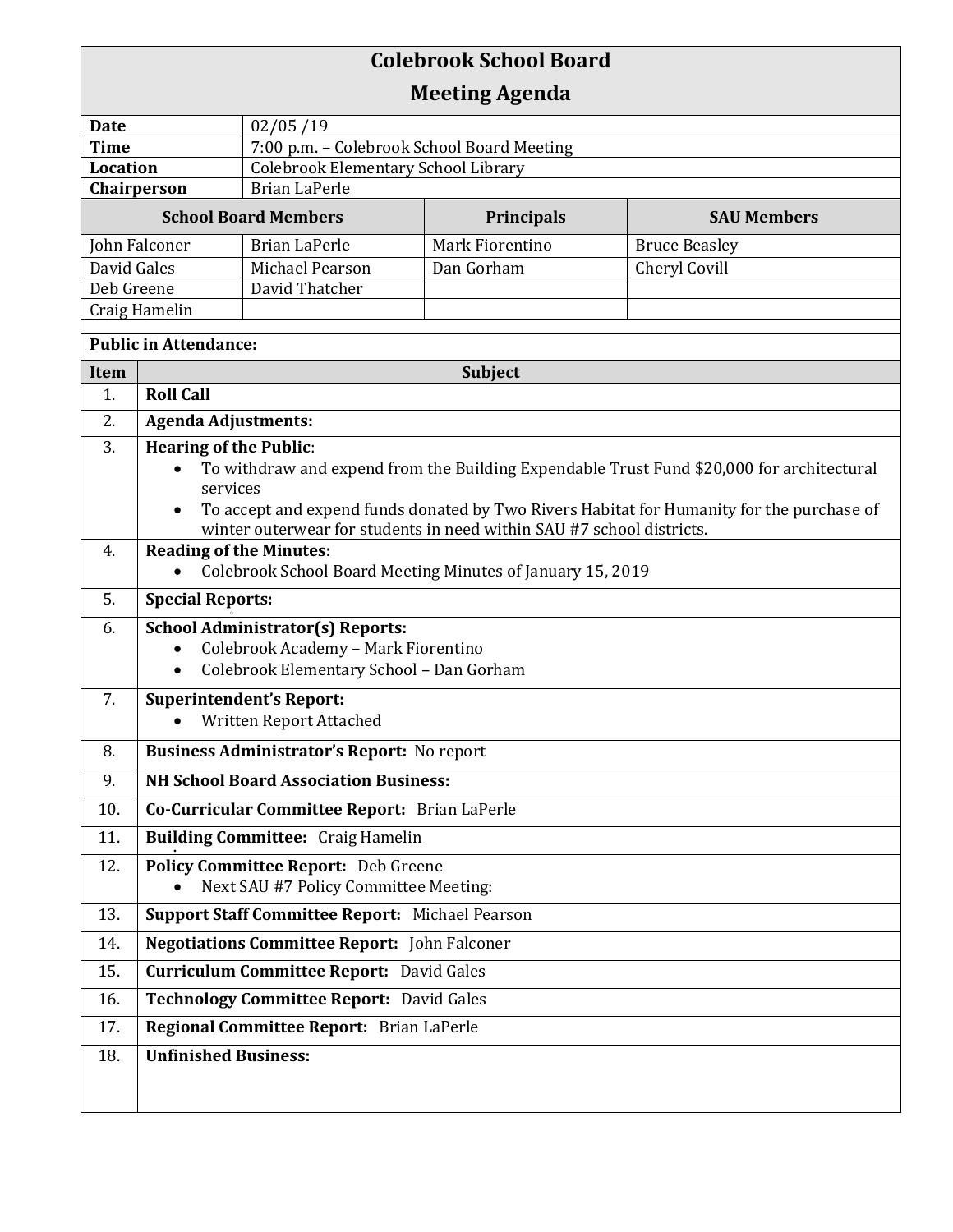| <b>Colebrook School Board</b>       |                                                                                                                    |                                            |                                                                       |                      |  |
|-------------------------------------|--------------------------------------------------------------------------------------------------------------------|--------------------------------------------|-----------------------------------------------------------------------|----------------------|--|
| <b>Meeting Agenda</b>               |                                                                                                                    |                                            |                                                                       |                      |  |
| <b>Date</b>                         |                                                                                                                    | 02/05/19                                   |                                                                       |                      |  |
| <b>Time</b>                         |                                                                                                                    | 7:00 p.m. - Colebrook School Board Meeting |                                                                       |                      |  |
| Location                            |                                                                                                                    | Colebrook Elementary School Library        |                                                                       |                      |  |
| <b>Brian LaPerle</b><br>Chairperson |                                                                                                                    |                                            |                                                                       |                      |  |
|                                     |                                                                                                                    | <b>School Board Members</b>                | Principals                                                            | <b>SAU Members</b>   |  |
| John Falconer                       |                                                                                                                    | <b>Brian LaPerle</b>                       | Mark Fiorentino                                                       | <b>Bruce Beasley</b> |  |
| David Gales                         |                                                                                                                    | Michael Pearson                            | Dan Gorham                                                            | Cheryl Covill        |  |
| Deb Greene                          |                                                                                                                    | David Thatcher                             |                                                                       |                      |  |
| Craig Hamelin                       |                                                                                                                    |                                            |                                                                       |                      |  |
| <b>Public in Attendance:</b>        |                                                                                                                    |                                            |                                                                       |                      |  |
| Item                                | Subject                                                                                                            |                                            |                                                                       |                      |  |
| 1.                                  | <b>Roll Call</b>                                                                                                   |                                            |                                                                       |                      |  |
| 2.                                  | <b>Agenda Adjustments:</b>                                                                                         |                                            |                                                                       |                      |  |
| 3.                                  | <b>Hearing of the Public:</b>                                                                                      |                                            |                                                                       |                      |  |
|                                     | To withdraw and expend from the Building Expendable Trust Fund \$20,000 for architectural                          |                                            |                                                                       |                      |  |
|                                     | services<br>To accept and expend funds donated by Two Rivers Habitat for Humanity for the purchase of<br>$\bullet$ |                                            |                                                                       |                      |  |
|                                     |                                                                                                                    |                                            | winter outerwear for students in need within SAU #7 school districts. |                      |  |
| 4.                                  | <b>Reading of the Minutes:</b>                                                                                     |                                            |                                                                       |                      |  |
|                                     | Colebrook School Board Meeting Minutes of January 15, 2019                                                         |                                            |                                                                       |                      |  |
| 5.                                  | <b>Special Reports:</b>                                                                                            |                                            |                                                                       |                      |  |
| 6.                                  | <b>School Administrator(s) Reports:</b>                                                                            |                                            |                                                                       |                      |  |
|                                     | Colebrook Academy - Mark Fiorentino<br>$\bullet$                                                                   |                                            |                                                                       |                      |  |
|                                     | Colebrook Elementary School - Dan Gorham<br>$\bullet$                                                              |                                            |                                                                       |                      |  |
| 7.                                  | <b>Superintendent's Report:</b>                                                                                    |                                            |                                                                       |                      |  |
|                                     | Written Report Attached                                                                                            |                                            |                                                                       |                      |  |
| 8.                                  | Business Administrator's Report: No report                                                                         |                                            |                                                                       |                      |  |
| 9.                                  | <b>NH School Board Association Business:</b>                                                                       |                                            |                                                                       |                      |  |
| 10.                                 | Co-Curricular Committee Report: Brian LaPerle                                                                      |                                            |                                                                       |                      |  |
| 11.                                 | <b>Building Committee: Craig Hamelin</b><br><b>Policy Committee Report:</b> Deb Greene                             |                                            |                                                                       |                      |  |
| 12.                                 |                                                                                                                    | Next SAU #7 Policy Committee Meeting:      |                                                                       |                      |  |
| 13.                                 | <b>Support Staff Committee Report: Michael Pearson</b>                                                             |                                            |                                                                       |                      |  |
| 14.                                 | <b>Negotiations Committee Report:</b> John Falconer                                                                |                                            |                                                                       |                      |  |
| 15.                                 | <b>Curriculum Committee Report:</b> David Gales                                                                    |                                            |                                                                       |                      |  |
| 16.                                 | Technology Committee Report: David Gales                                                                           |                                            |                                                                       |                      |  |
| 17.                                 | Regional Committee Report: Brian LaPerle                                                                           |                                            |                                                                       |                      |  |
| 18.                                 | <b>Unfinished Business:</b>                                                                                        |                                            |                                                                       |                      |  |
|                                     |                                                                                                                    |                                            |                                                                       |                      |  |